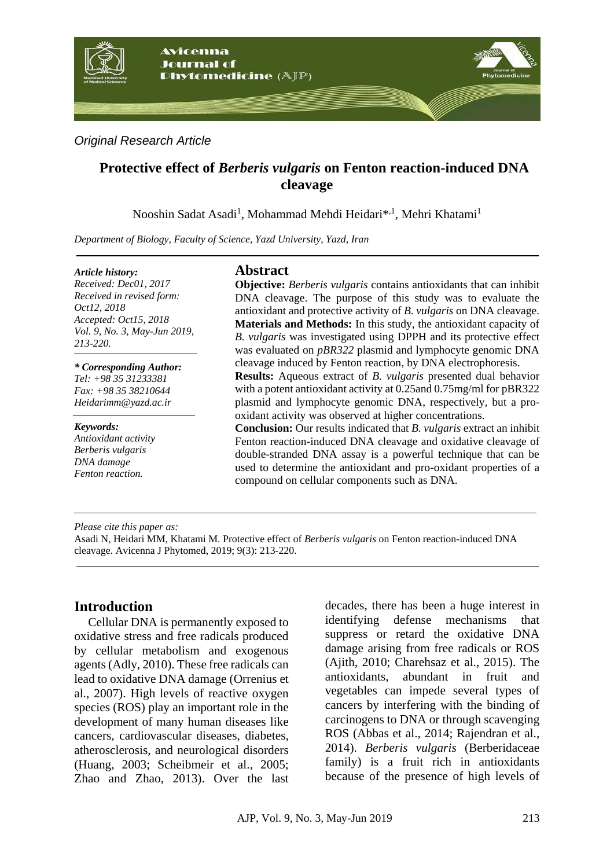

*Original Research Article*

# **Protective effect of** *Berberis vulgaris* **on Fenton reaction-induced DNA cleavage**

Nooshin Sadat Asadi<sup>1</sup>, Mohammad Mehdi Heidari\*<sup>,1</sup>, Mehri Khatami<sup>1</sup>

*Department of Biology, Faculty of Science, Yazd University, Yazd, Iran*

#### *Article history:*

*Received: Dec01, 2017 Received in revised form: Oct12, 2018 Accepted: Oct15, 2018 Vol. 9, No. 3, May-Jun 2019, 213-220.*

#### *\* Corresponding Author:*

*Tel: +98 35 31233381 Fax: +98 35 38210644 [Heidarimm@yazd.ac.ir](mailto:Heidarimm@yazd.ac.ir)*

#### *Keywords:*

*Antioxidant activity Berberis vulgaris DNA damage Fenton reaction.*

#### **Abstract**

**Objective:** *Berberis vulgaris* contains antioxidants that can inhibit DNA cleavage. The purpose of this study was to evaluate the antioxidant and protective activity of *B. vulgaris* on DNA cleavage. **Materials and Methods:** In this study, the antioxidant capacity of *B. vulgaris* was investigated using DPPH and its protective effect was evaluated on *pBR322* plasmid and lymphocyte genomic DNA cleavage induced by Fenton reaction, by DNA electrophoresis.

**Results:** Aqueous extract of *B. vulgaris* presented dual behavior with a potent antioxidant activity at 0.25and 0.75mg/ml for pBR322 plasmid and lymphocyte genomic DNA, respectively, but a prooxidant activity was observed at higher concentrations.

**Conclusion:** Our results indicated that *B. vulgaris* extract an inhibit Fenton reaction-induced DNA cleavage and oxidative cleavage of double-stranded DNA assay is a powerful technique that can be used to determine the antioxidant and pro-oxidant properties of a compound on cellular components such as DNA.

*Please cite this paper as:* 

Asadi N, Heidari MM, Khatami M. Protective effect of *Berberis vulgaris* on Fenton reaction-induced DNA cleavage. Avicenna J Phytomed, 2019; 9(3): 213-220.

## **Introduction**

Cellular DNA is permanently exposed to oxidative stress and free radicals produced by cellular metabolism and exogenous agents [\(Adly, 2010\)](#page-6-0). These free radicals can lead to oxidative DNA damage [\(Orrenius et](#page-7-0)  [al., 2007\)](#page-7-0). High levels of reactive oxygen species (ROS) play an important role in the development of many human diseases like cancers, cardiovascular diseases, diabetes, atherosclerosis, and neurological disorders [\(Huang, 2003;](#page-7-1) [Scheibmeir et al., 2005;](#page-7-2) [Zhao and Zhao, 2013\)](#page-7-3). Over the last

decades, there has been a huge interest in identifying defense mechanisms that suppress or retard the oxidative DNA damage arising from free radicals or ROS [\(Ajith, 2010;](#page-6-1) [Charehsaz et al., 2015\)](#page-6-2). The antioxidants, abundant in fruit and vegetables can impede several types of cancers by interfering with the binding of carcinogens to DNA or through scavenging ROS [\(Abbas et al., 2014;](#page-6-3) [Rajendran et](#page-7-4) al., [2014\)](#page-7-4). *Berberis vulgaris* (Berberidaceae family) is a fruit rich in antioxidants because of the presence of high levels of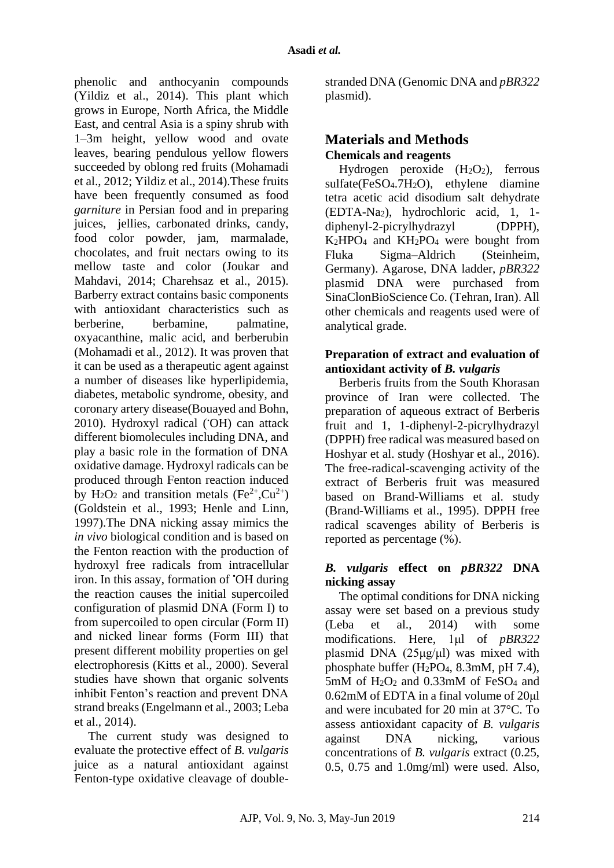phenolic and anthocyanin compounds [\(Yildiz et al., 2014\)](#page-7-5). This plant which grows in Europe, North Africa, the Middle East, and central Asia is a spiny shrub with 1–3m height, yellow wood and ovate leaves, bearing pendulous yellow flowers succeeded by oblong red fruits [\(Mohamadi](#page-7-6)  [et al., 2012;](#page-7-6) [Yildiz et al., 2014\)](#page-7-5).These fruits have been frequently consumed as food *garniture* in Persian food and in preparing juices, jellies, carbonated drinks, candy, food color powder, jam, marmalade, chocolates, and fruit nectars owing to its mellow taste and color [\(Joukar and](#page-7-7)  [Mahdavi, 2014;](#page-7-7) [Charehsaz et al., 2015\)](#page-6-2). Barberry extract contains basic components with antioxidant characteristics such as berberine, berbamine, palmatine, oxyacanthine, malic acid, and berberubin [\(Mohamadi et al., 2012\)](#page-7-6). It was proven that it can be used as a therapeutic agent against a number of diseases like hyperlipidemia, diabetes, metabolic syndrome, obesity, and coronary artery disease[\(Bouayed and Bohn,](#page-6-4)  [2010\)](#page-6-4). Hydroxyl radical (OH) can attack different biomolecules including DNA, and play a basic role in the formation of DNA oxidative damage. Hydroxyl radicals can be produced through Fenton reaction induced by H<sub>2</sub>O<sub>2</sub> and transition metals (Fe<sup>2+</sup>,Cu<sup>2+</sup>) [\(Goldstein et al., 1993;](#page-6-5) [Henle and Linn,](#page-7-8)  [1997\)](#page-7-8).The DNA nicking assay mimics the *in vivo* biological condition and is based on the Fenton reaction with the production of hydroxyl free radicals from intracellular iron. In this assay, formation of •OH during the reaction causes the initial supercoiled configuration of plasmid DNA (Form I) to from supercoiled to open circular (Form II) and nicked linear forms (Form III) that present different mobility properties on gel electrophoresis [\(Kitts et al., 2000\)](#page-7-9). Several studies have shown that organic solvents inhibit Fenton's reaction and prevent DNA strand breaks [\(Engelmann et al., 2003;](#page-6-6) [Leba](#page-7-10)  [et al., 2014\)](#page-7-10).

The current study was designed to evaluate the protective effect of *B. vulgaris* juice as a natural antioxidant against Fenton-type oxidative cleavage of doublestranded DNA (Genomic DNA and *pBR322* plasmid).

# **Materials and Methods Chemicals and reagents**

Hydrogen peroxide  $(H_2O_2)$ , ferrous sulfate(FeSO4.7H2O), ethylene diamine tetra acetic acid disodium salt dehydrate (EDTA-Na2), hydrochloric acid, 1, 1 diphenyl-2-picrylhydrazyl (DPPH), K2HPO<sup>4</sup> and KH2PO<sup>4</sup> were bought from Fluka Sigma–Aldrich (Steinheim, Germany). Agarose, DNA ladder, *pBR322* plasmid DNA were purchased from SinaClonBioScience Co. (Tehran, Iran). All other chemicals and reagents used were of analytical grade.

#### **Preparation of extract and evaluation of antioxidant activity of** *B. vulgaris*

Berberis fruits from the South Khorasan province of Iran were collected. The preparation of aqueous extract of Berberis fruit and 1, 1-diphenyl-2-picrylhydrazyl (DPPH) free radical was measured based on Hoshyar et al. study [\(Hoshyar et al., 2016\)](#page-7-11). The free-radical-scavenging activity of the extract of Berberis fruit was measured based on Brand-Williams et al. study [\(Brand-Williams et al., 1995\)](#page-6-7). DPPH free radical scavenges ability of Berberis is reported as percentage (%).

#### *B. vulgaris* **effect on** *pBR322* **DNA nicking assay**

The optimal conditions for DNA nicking assay were set based on a previous study [\(Leba et al., 2014\)](#page-7-10) with some modifications. Here, 1μl of *pBR322* plasmid DNA  $(25\mu g/\mu l)$  was mixed with phosphate buffer  $(H_2PO_4, 8.3mM, pH 7.4)$ , 5mM of H2O<sup>2</sup> and 0.33mM of FeSO<sup>4</sup> and 0.62mM of EDTA in a final volume of 20μl and were incubated for 20 min at 37°C. To assess antioxidant capacity of *B. vulgaris* against DNA nicking, various concentrations of *B. vulgaris* extract (0.25, 0.5, 0.75 and 1.0mg/ml) were used. Also,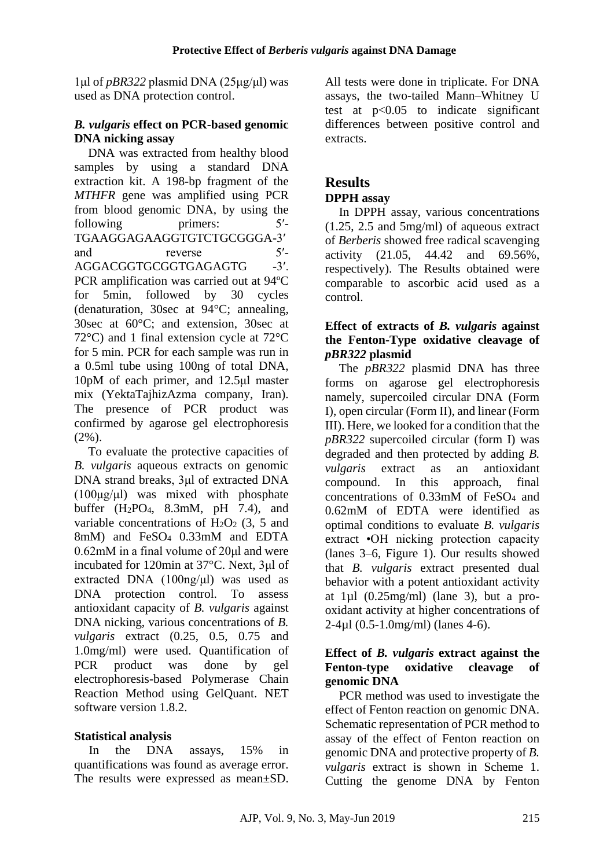1μl of *pBR322* plasmid DNA (25μg/μl) was used as DNA protection control.

## *B. vulgaris* **effect on PCR-based genomic DNA nicking assay**

DNA was extracted from healthy blood samples by using a standard DNA extraction kit. A 198-bp fragment of the *MTHFR* gene was amplified using PCR from blood genomic DNA, by using the following primers: 5<sup>'-1</sup> TGAAGGAGAAGGTGTCTGCGGGA-3′ and reverse 5′-AGGACGGTGCGGTGAGAGTG -3'. PCR amplification was carried out at 94ºC for 5min, followed by 30 cycles (denaturation, 30sec at 94°C; annealing, 30sec at 60°C; and extension, 30sec at 72°C) and 1 final extension cycle at 72°C for 5 min. PCR for each sample was run in a 0.5ml tube using 100ng of total DNA, 10pM of each primer, and 12.5μl master mix (YektaTajhizAzma company, Iran). The presence of PCR product was confirmed by agarose gel electrophoresis  $(2\%)$ .

To evaluate the protective capacities of *B. vulgaris* aqueous extracts on genomic DNA strand breaks, 3μl of extracted DNA  $(100\mu g/\mu l)$  was mixed with phosphate buffer (H2PO4, 8.3mM, pH 7.4), and variable concentrations of  $H_2O_2$  (3, 5 and 8mM) and FeSO<sup>4</sup> 0.33mM and EDTA 0.62mM in a final volume of 20μl and were incubated for 120min at 37°C. Next, 3μl of extracted DNA (100ng/μl) was used as DNA protection control. To assess antioxidant capacity of *B. vulgaris* against DNA nicking, various concentrations of *B. vulgaris* extract (0.25, 0.5, 0.75 and 1.0mg/ml) were used. Quantification of PCR product was done by gel electrophoresis-based Polymerase Chain Reaction Method using GelQuant. NET software version 1.8.2.

# **Statistical analysis**

In the DNA assays, 15% in quantifications was found as average error. The results were expressed as mean±SD.

All tests were done in triplicate. For DNA assays, the two-tailed Mann–Whitney U test at  $p<0.05$  to indicate significant differences between positive control and extracts.

# **Results**

# **DPPH assay**

In DPPH assay, various concentrations (1.25, 2.5 and 5mg/ml) of aqueous extract of *Berberis* showed free radical scavenging activity (21.05, 44.42 and 69.56%, respectively). The Results obtained were comparable to ascorbic acid used as a control.

## **Effect of extracts of** *B. vulgaris* **against the Fenton-Type oxidative cleavage of**  *pBR322* **plasmid**

The *pBR322* plasmid DNA has three forms on agarose gel electrophoresis namely, supercoiled circular DNA (Form I), open circular (Form II), and linear (Form III). Here, we looked for a condition that the *pBR322* supercoiled circular (form I) was degraded and then protected by adding *B. vulgaris* extract as an antioxidant compound. In this approach, final concentrations of 0.33mM of FeSO<sup>4</sup> and 0.62mM of EDTA were identified as optimal conditions to evaluate *B. vulgaris* extract •OH nicking protection capacity (lanes 3–6, Figure 1). Our results showed that *B. vulgaris* extract presented dual behavior with a potent antioxidant activity at  $1\mu$  (0.25mg/ml) (lane 3), but a prooxidant activity at higher concentrations of  $2-4\mu$ l (0.5-1.0mg/ml) (lanes 4-6).

## **Effect of** *B. vulgaris* **extract against the Fenton-type oxidative cleavage of genomic DNA**

PCR method was used to investigate the effect of Fenton reaction on genomic DNA. Schematic representation of PCR method to assay of the effect of Fenton reaction on genomic DNA and protective property of *B. vulgaris* extract is shown in Scheme 1. Cutting the genome DNA by Fenton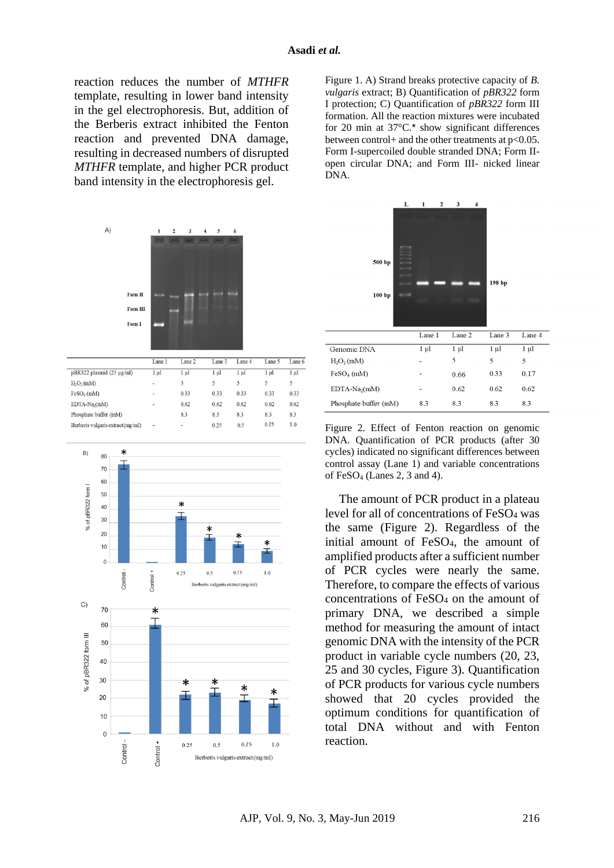reaction reduces the number of *MTHFR* template, resulting in lower band intensity in the gel electrophoresis. But, addition of the Berberis extract inhibited the Fenton reaction and prevented DNA damage, resulting in decreased numbers of disrupted *MTHFR* template, and higher PCR product band intensity in the electrophoresis gel.





Figure 1. A) Strand breaks protective capacity of *B. vulgaris* extract; B) Quantification of *pBR322* form I protection; C) Quantification of *pBR322* form III formation. All the reaction mixtures were incubated for 20 min at 37°C.\* show significant differences between control+ and the other treatments at  $p<0.05$ . Form I-supercoiled double stranded DNA; Form IIopen circular DNA; and Form III- nicked linear DNA.



Figure 2. Effect of Fenton reaction on genomic DNA. Quantification of PCR products (after 30 cycles) indicated no significant differences between control assay (Lane 1) and variable concentrations of FeSO<sup>4</sup> (Lanes 2, 3 and 4).

The amount of PCR product in a plateau level for all of concentrations of FeSO<sup>4</sup> was the same (Figure 2). Regardless of the initial amount of FeSO4, the amount of amplified products after a sufficient number of PCR cycles were nearly the same. Therefore, to compare the effects of various concentrations of FeSO<sup>4</sup> on the amount of primary DNA, we described a simple method for measuring the amount of intact genomic DNA with the intensity of the PCR product in variable cycle numbers (20, 23, 25 and 30 cycles, Figure 3). Quantification of PCR products for various cycle numbers showed that 20 cycles provided the optimum conditions for quantification of total DNA without and with Fenton reaction.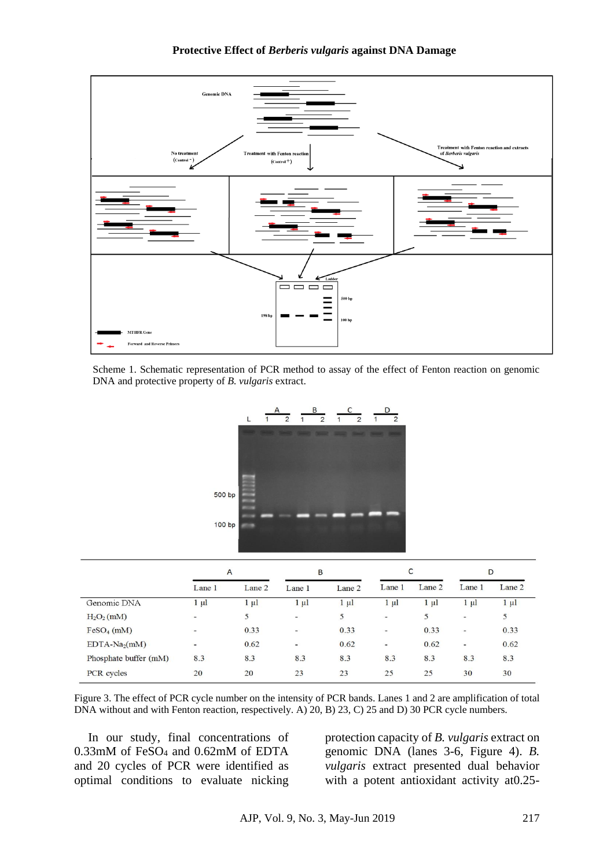

Scheme 1. Schematic representation of PCR method to assay of the effect of Fenton reaction on genomic DNA and protective property of *B. vulgaris* extract.



|                                    | A                        |           | B                        |           | C                        |           | D                        |           |
|------------------------------------|--------------------------|-----------|--------------------------|-----------|--------------------------|-----------|--------------------------|-----------|
|                                    | Lane 1                   | Lane 2    | Lane 1                   | Lane 2    | Lane 1                   | Lane 2    | Lane 1                   | Lane 2    |
| Genomic DNA                        | $1 \mu l$                | $1 \mu l$ | $1 \mu l$                | $1 \mu l$ | 1 μl                     | $1 \mu l$ | $1 \mu l$                | $1 \mu l$ |
| H <sub>2</sub> O <sub>2</sub> (mM) | $\overline{\phantom{a}}$ | 5         | $\overline{\phantom{a}}$ | 5         | $\overline{\phantom{a}}$ | 5         | $\overline{\phantom{a}}$ | 5         |
| $FeSO4$ (mM)                       | ÷.                       | 0.33      | $\overline{\phantom{0}}$ | 0.33      | -                        | 0.33      | $\overline{\phantom{0}}$ | 0.33      |
| $EDTA-Na2(mM)$                     | $\overline{\phantom{0}}$ | 0.62      | $\overline{\phantom{0}}$ | 0.62      | Ξ                        | 0.62      | $\overline{\phantom{a}}$ | 0.62      |
| Phosphate buffer (mM)              | 8.3                      | 8.3       | 8.3                      | 8.3       | 8.3                      | 8.3       | 8.3                      | 8.3       |
| PCR cycles                         | 20                       | 20        | 23                       | 23        | 25                       | 25        | 30                       | 30        |

Figure 3. The effect of PCR cycle number on the intensity of PCR bands. Lanes 1 and 2 are amplification of total DNA without and with Fenton reaction, respectively. A) 20, B) 23, C) 25 and D) 30 PCR cycle numbers.

In our study, final concentrations of 0.33mM of FeSO<sup>4</sup> and 0.62mM of EDTA and 20 cycles of PCR were identified as optimal conditions to evaluate nicking protection capacity of *B. vulgaris* extract on genomic DNA (lanes 3-6, Figure 4). *B. vulgaris* extract presented dual behavior with a potent antioxidant activity at0.25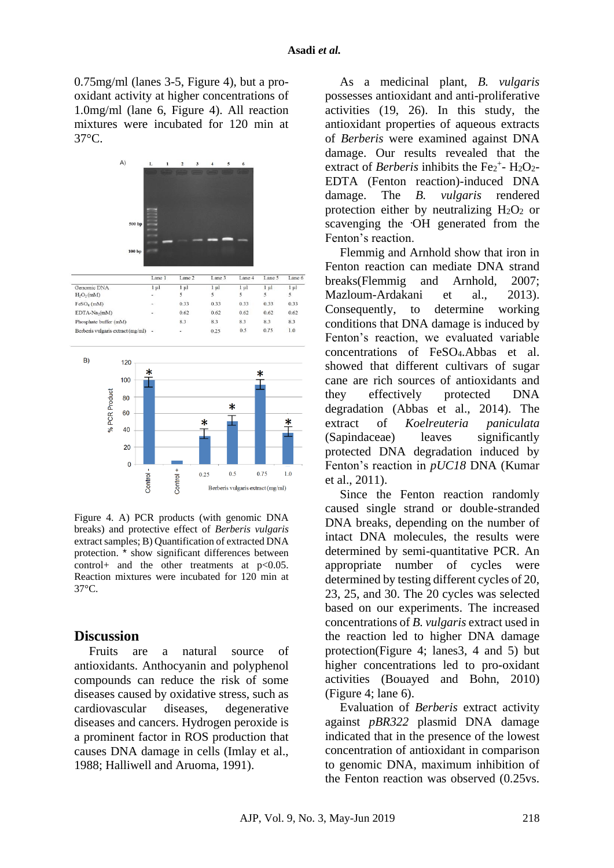0.75mg/ml (lanes 3-5, Figure 4), but a prooxidant activity at higher concentrations of 1.0mg/ml (lane 6, Figure 4). All reaction mixtures were incubated for 120 min at 37°C.



Figure 4. A) PCR products (with genomic DNA breaks) and protective effect of *Berberis vulgaris* extract samples; B) Quantification of extracted DNA protection. \* show significant differences between control + and the other treatments at  $p < 0.05$ . Reaction mixtures were incubated for 120 min at 37°C.

## **Discussion**

Fruits are a natural source of antioxidants. Anthocyanin and polyphenol compounds can reduce the risk of some diseases caused by oxidative stress, such as cardiovascular diseases, degenerative diseases and cancers. Hydrogen peroxide is a prominent factor in ROS production that causes DNA damage in cells [\(Imlay et al.,](#page-7-12)  [1988;](#page-7-12) [Halliwell and Aruoma, 1991\)](#page-6-8).

As a medicinal plant, *B. vulgaris* possesses antioxidant and anti-proliferative activities (19, 26). In this study, the antioxidant properties of aqueous extracts of *Berberis* were examined against DNA damage. Our results revealed that the extract of *Berberis* inhibits the Fe<sub>2<sup>+</sup>- H<sub>2</sub>O<sub>2</sub>-</sub> EDTA (Fenton reaction)-induced DNA damage. The *B. vulgaris* rendered protection either by neutralizing  $H_2O_2$  or scavenging the **.**OH generated from the Fenton's reaction.

Flemmig and Arnhold show that iron in Fenton reaction can mediate DNA strand breaks[\(Flemmig and Arnhold, 2007;](#page-6-9) [Mazloum-Ardakani et al., 2013\)](#page-7-13). Consequently, to determine working conditions that DNA damage is induced by Fenton's reaction, we evaluated variable concentrations of FeSO4.Abbas et al. showed that different cultivars of sugar cane are rich sources of antioxidants and they effectively protected DNA degradation [\(Abbas et al., 2014\)](#page-6-3). The extract of *Koelreuteria paniculata* (Sapindaceae) leaves significantly protected DNA degradation induced by Fenton's reaction in *pUC18* DNA [\(Kumar](#page-7-14)  [et al., 2011\)](#page-7-14).

Since the Fenton reaction randomly caused single strand or double-stranded DNA breaks, depending on the number of intact DNA molecules, the results were determined by semi-quantitative PCR. An appropriate number of cycles were determined by testing different cycles of 20, 23, 25, and 30. The 20 cycles was selected based on our experiments. The increased concentrations of *B. vulgaris* extract used in the reaction led to higher DNA damage protection(Figure 4; lanes3, 4 and 5) but higher concentrations led to pro-oxidant activities [\(Bouayed and Bohn, 2010\)](#page-6-4) (Figure 4; lane 6).

Evaluation of *Berberis* extract activity against *pBR322* plasmid DNA damage indicated that in the presence of the lowest concentration of antioxidant in comparison to genomic DNA, maximum inhibition of the Fenton reaction was observed (0.25vs.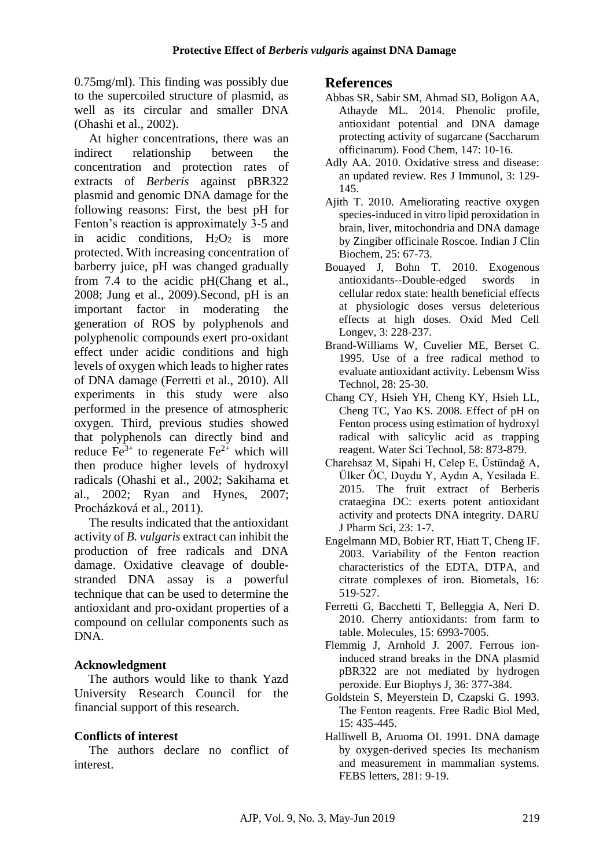0.75mg/ml). This finding was possibly due to the supercoiled structure of plasmid, as well as its circular and smaller DNA [\(Ohashi et al., 2002\)](#page-7-15).

At higher concentrations, there was an indirect relationship between the concentration and protection rates of extracts of *Berberis* against pBR322 plasmid and genomic DNA damage for the following reasons: First, the best pH for Fenton's reaction is approximately 3-5 and in acidic conditions,  $H_2O_2$  is more protected. With increasing concentration of barberry juice, pH was changed gradually from 7.4 to the acidic pH[\(Chang et al.,](#page-6-10)  [2008;](#page-6-10) [Jung et al., 2009\)](#page-7-16).Second, pH is an important factor in moderating the generation of ROS by polyphenols and polyphenolic compounds exert pro-oxidant effect under acidic conditions and high levels of oxygen which leads to higher rates of DNA damage [\(Ferretti et al., 2010\)](#page-6-11). All experiments in this study were also performed in the presence of atmospheric oxygen. Third, previous studies showed that polyphenols can directly bind and reduce  $Fe^{3+}$  to regenerate  $Fe^{2+}$  which will then produce higher levels of hydroxyl radicals [\(Ohashi et al., 2002;](#page-7-15) [Sakihama et](#page-7-17)  [al., 2002;](#page-7-17) [Ryan and Hynes, 2007;](#page-7-18) [Procházková et al., 2011\)](#page-7-19).

The results indicated that the antioxidant activity of *B. vulgaris* extract can inhibit the production of free radicals and DNA damage. Oxidative cleavage of doublestranded DNA assay is a powerful technique that can be used to determine the antioxidant and pro-oxidant properties of a compound on cellular components such as DNA.

# **Acknowledgment**

The authors would like to thank Yazd University Research Council for the financial support of this research.

# **Conflicts of interest**

The authors declare no conflict of interest.

# **References**

- <span id="page-6-3"></span>Abbas SR, Sabir SM, Ahmad SD, Boligon AA, Athayde ML. 2014. Phenolic profile, antioxidant potential and DNA damage protecting activity of sugarcane (Saccharum officinarum). Food Chem, 147: 10-16.
- <span id="page-6-0"></span>Adly AA. 2010. Oxidative stress and disease: an updated review. Res J Immunol, 3: 129- 145.
- <span id="page-6-1"></span>Ajith T. 2010. Ameliorating reactive oxygen species-induced in vitro lipid peroxidation in brain, liver, mitochondria and DNA damage by Zingiber officinale Roscoe. Indian J Clin Biochem, 25: 67-73.
- <span id="page-6-4"></span>Bouayed J, Bohn T. 2010. Exogenous antioxidants--Double-edged swords in cellular redox state: health beneficial effects at physiologic doses versus deleterious effects at high doses. Oxid Med Cell Longev, 3: 228-237.
- <span id="page-6-7"></span>Brand-Williams W, Cuvelier ME, Berset C. 1995. Use of a free radical method to evaluate antioxidant activity. Lebensm Wiss Technol, 28: 25-30.
- <span id="page-6-10"></span>Chang CY, Hsieh YH, Cheng KY, Hsieh LL, Cheng TC, Yao KS. 2008. Effect of pH on Fenton process using estimation of hydroxyl radical with salicylic acid as trapping reagent. Water Sci Technol, 58: 873-879.
- <span id="page-6-2"></span>Charehsaz M, Sipahi H, Celep E, Üstündağ A, Ülker ÖC, Duydu Y, Aydın A, Yesilada E. 2015. The fruit extract of Berberis crataegina DC: exerts potent antioxidant activity and protects DNA integrity. DARU J Pharm Sci, 23: 1-7.
- <span id="page-6-6"></span>Engelmann MD, Bobier RT, Hiatt T, Cheng IF. 2003. Variability of the Fenton reaction characteristics of the EDTA, DTPA, and citrate complexes of iron. Biometals, 16: 519-527.
- <span id="page-6-11"></span>Ferretti G, Bacchetti T, Belleggia A, Neri D. 2010. Cherry antioxidants: from farm to table. Molecules, 15: 6993-7005.
- <span id="page-6-9"></span>Flemmig J, Arnhold J. 2007. Ferrous ioninduced strand breaks in the DNA plasmid pBR322 are not mediated by hydrogen peroxide. Eur Biophys J, 36: 377-384.
- <span id="page-6-5"></span>Goldstein S, Meyerstein D, Czapski G. 1993. The Fenton reagents. Free Radic Biol Med, 15: 435-445.
- <span id="page-6-8"></span>Halliwell B, Aruoma OI. 1991. DNA damage by oxygen‐derived species Its mechanism and measurement in mammalian systems. FEBS letters, 281: 9-19.